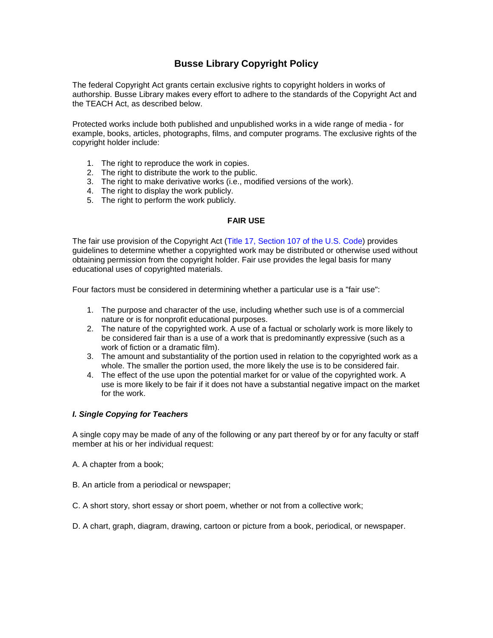# **Busse Library Copyright Policy**

The federal Copyright Act grants certain exclusive rights to copyright holders in works of authorship. Busse Library makes every effort to adhere to the standards of the Copyright Act and the TEACH Act, as described below.

Protected works include both published and unpublished works in a wide range of media - for example, books, articles, photographs, films, and computer programs. The exclusive rights of the copyright holder include:

- 1. The right to reproduce the work in copies.
- 2. The right to distribute the work to the public.
- 3. The right to make derivative works (i.e., modified versions of the work).
- 4. The right to display the work publicly.
- 5. The right to perform the work publicly.

## **FAIR USE**

The fair use provision of the Copyright Act [\(Title 17, Section 107](http://www.copyright.gov/fls/fl102.html) of the U.S. Code) provides guidelines to determine whether a copyrighted work may be distributed or otherwise used without obtaining permission from the copyright holder. Fair use provides the legal basis for many educational uses of copyrighted materials.

Four factors must be considered in determining whether a particular use is a "fair use":

- 1. The purpose and character of the use, including whether such use is of a commercial nature or is for nonprofit educational purposes.
- 2. The nature of the copyrighted work. A use of a factual or scholarly work is more likely to be considered fair than is a use of a work that is predominantly expressive (such as a work of fiction or a dramatic film).
- 3. The amount and substantiality of the portion used in relation to the copyrighted work as a whole. The smaller the portion used, the more likely the use is to be considered fair.
- 4. The effect of the use upon the potential market for or value of the copyrighted work. A use is more likely to be fair if it does not have a substantial negative impact on the market for the work.

#### *I. Single Copying for Teachers*

A single copy may be made of any of the following or any part thereof by or for any faculty or staff member at his or her individual request:

- A. A chapter from a book;
- B. An article from a periodical or newspaper;
- C. A short story, short essay or short poem, whether or not from a collective work;
- D. A chart, graph, diagram, drawing, cartoon or picture from a book, periodical, or newspaper.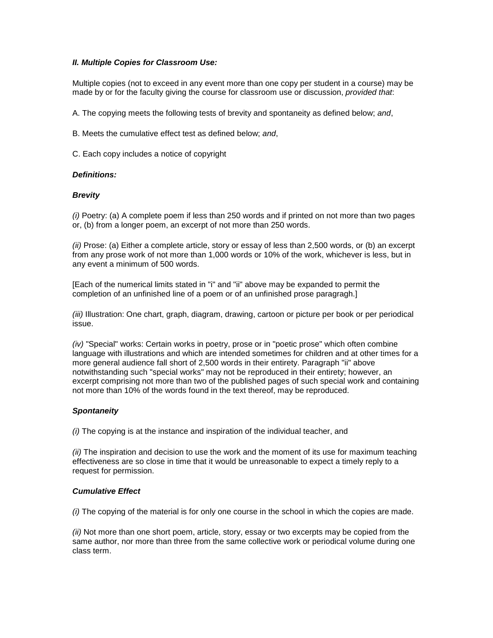## *II. Multiple Copies for Classroom Use:*

Multiple copies (not to exceed in any event more than one copy per student in a course) may be made by or for the faculty giving the course for classroom use or discussion, *provided that*:

A. The copying meets the following tests of brevity and spontaneity as defined below; *and*,

B. Meets the cumulative effect test as defined below; *and*,

C. Each copy includes a notice of copyright

## *Definitions:*

## *Brevity*

*(i)* Poetry: (a) A complete poem if less than 250 words and if printed on not more than two pages or, (b) from a longer poem, an excerpt of not more than 250 words.

*(ii)* Prose: (a) Either a complete article, story or essay of less than 2,500 words, or (b) an excerpt from any prose work of not more than 1,000 words or 10% of the work, whichever is less, but in any event a minimum of 500 words.

[Each of the numerical limits stated in "i" and "ii" above may be expanded to permit the completion of an unfinished line of a poem or of an unfinished prose paragragh.]

*(iii)* Illustration: One chart, graph, diagram, drawing, cartoon or picture per book or per periodical issue.

*(iv)* "Special" works: Certain works in poetry, prose or in "poetic prose" which often combine language with illustrations and which are intended sometimes for children and at other times for a more general audience fall short of 2,500 words in their entirety. Paragraph "ii" above notwithstanding such "special works" may not be reproduced in their entirety; however, an excerpt comprising not more than two of the published pages of such special work and containing not more than 10% of the words found in the text thereof, may be reproduced.

## *Spontaneity*

*(i)* The copying is at the instance and inspiration of the individual teacher, and

*(ii)* The inspiration and decision to use the work and the moment of its use for maximum teaching effectiveness are so close in time that it would be unreasonable to expect a timely reply to a request for permission.

#### *Cumulative Effect*

*(i)* The copying of the material is for only one course in the school in which the copies are made.

*(ii)* Not more than one short poem, article, story, essay or two excerpts may be copied from the same author, nor more than three from the same collective work or periodical volume during one class term.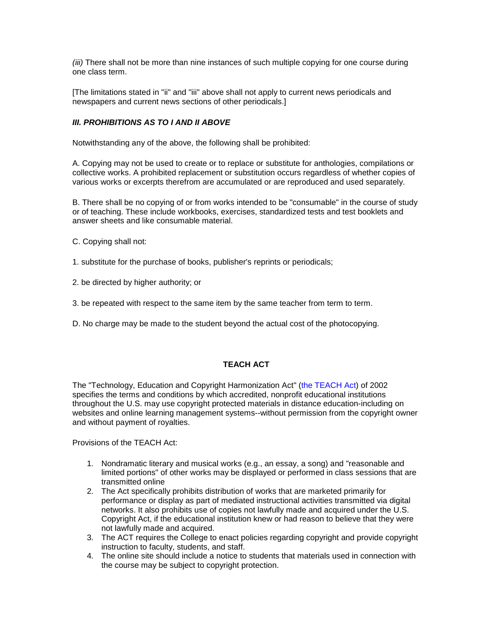*(iii)* There shall not be more than nine instances of such multiple copying for one course during one class term.

[The limitations stated in "ii" and "iii" above shall not apply to current news periodicals and newspapers and current news sections of other periodicals.]

# *III. PROHIBITIONS AS TO I AND II ABOVE*

Notwithstanding any of the above, the following shall be prohibited:

A. Copying may not be used to create or to replace or substitute for anthologies, compilations or collective works. A prohibited replacement or substitution occurs regardless of whether copies of various works or excerpts therefrom are accumulated or are reproduced and used separately.

B. There shall be no copying of or from works intended to be "consumable" in the course of study or of teaching. These include workbooks, exercises, standardized tests and test booklets and answer sheets and like consumable material.

- C. Copying shall not:
- 1. substitute for the purchase of books, publisher's reprints or periodicals;
- 2. be directed by higher authority; or
- 3. be repeated with respect to the same item by the same teacher from term to term.
- D. No charge may be made to the student beyond the actual cost of the photocopying.

## **TEACH ACT**

The "Technology, Education and Copyright Harmonization Act" [\(the TEACH Act\)](http://www.copyright.gov/docs/regstat031301.html) of 2002 specifies the terms and conditions by which accredited, nonprofit educational institutions throughout the U.S. may use copyright protected materials in distance education-including on websites and online learning management systems--without permission from the copyright owner and without payment of royalties.

Provisions of the TEACH Act:

- 1. Nondramatic literary and musical works (e.g., an essay, a song) and "reasonable and limited portions" of other works may be displayed or performed in class sessions that are transmitted online
- 2. The Act specifically prohibits distribution of works that are marketed primarily for performance or display as part of mediated instructional activities transmitted via digital networks. It also prohibits use of copies not lawfully made and acquired under the U.S. Copyright Act, if the educational institution knew or had reason to believe that they were not lawfully made and acquired.
- 3. The ACT requires the College to enact policies regarding copyright and provide copyright instruction to faculty, students, and staff.
- 4. The online site should include a notice to students that materials used in connection with the course may be subject to copyright protection.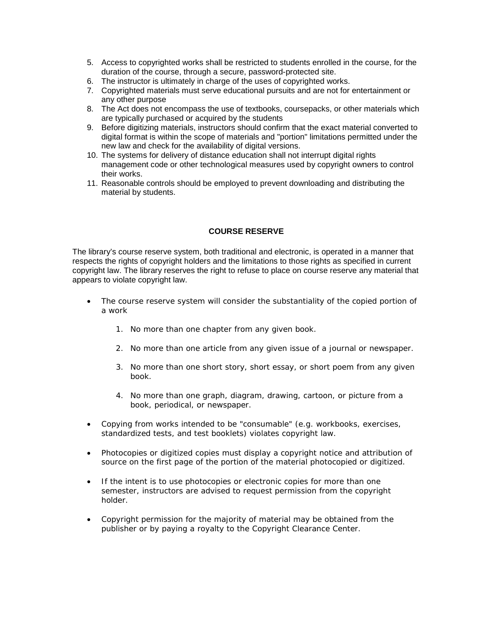- 5. Access to copyrighted works shall be restricted to students enrolled in the course, for the duration of the course, through a secure, password-protected site.
- 6. The instructor is ultimately in charge of the uses of copyrighted works.
- 7. Copyrighted materials must serve educational pursuits and are not for entertainment or any other purpose
- 8. The Act does not encompass the use of textbooks, coursepacks, or other materials which are typically purchased or acquired by the students
- 9. Before digitizing materials, instructors should confirm that the exact material converted to digital format is within the scope of materials and "portion" limitations permitted under the new law and check for the availability of digital versions.
- 10. The systems for delivery of distance education shall not interrupt digital rights management code or other technological measures used by copyright owners to control their works.
- 11. Reasonable controls should be employed to prevent downloading and distributing the material by students.

## **COURSE RESERVE**

The library's course reserve system, both traditional and electronic, is operated in a manner that respects the rights of copyright holders and the limitations to those rights as specified in current copyright law. The library reserves the right to refuse to place on course reserve any material that appears to violate copyright law.

- The course reserve system will consider the substantiality of the copied portion of a work
	- 1. No more than one chapter from any given book.
	- 2. No more than one article from any given issue of a journal or newspaper.
	- 3. No more than one short story, short essay, or short poem from any given book.
	- 4. No more than one graph, diagram, drawing, cartoon, or picture from a book, periodical, or newspaper.
- Copying from works intended to be "consumable" (e.g. workbooks, exercises, standardized tests, and test booklets) violates copyright law.
- Photocopies or digitized copies must display a copyright notice and attribution of source on the first page of the portion of the material photocopied or digitized.
- If the intent is to use photocopies or electronic copies for more than one semester, instructors are advised to request permission from the copyright holder.
- Copyright permission for the majority of material may be obtained from the publisher or by paying a royalty to the Copyright Clearance Center.